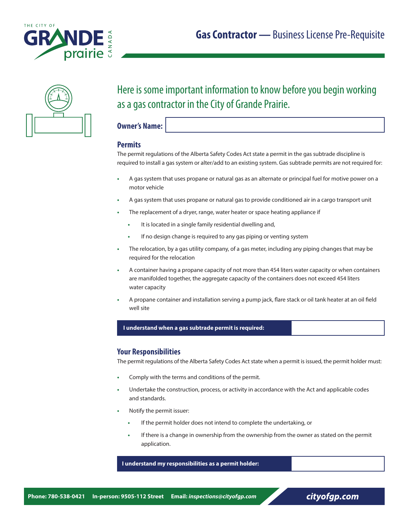





# Here is some important information to know before you begin working as a gas contractor in the City of Grande Prairie.

**Owner's Name:**

# **Permits**

The permit regulations of the Alberta Safety Codes Act state a permit in the gas subtrade discipline is required to install a gas system or alter/add to an existing system. Gas subtrade permits are not required for:

- **•** A gas system that uses propane or natural gas as an alternate or principal fuel for motive power on a motor vehicle
- **•** A gas system that uses propane or natural gas to provide conditioned air in a cargo transport unit
- **•** The replacement of a dryer, range, water heater or space heating appliance if
	- **•** It is located in a single family residential dwelling and,
	- **•** If no design change is required to any gas piping or venting system
- **•** The relocation, by a gas utility company, of a gas meter, including any piping changes that may be required for the relocation
- **•** A container having a propane capacity of not more than 454 liters water capacity or when containers are manifolded together, the aggregate capacity of the containers does not exceed 454 liters water capacity
- **•** A propane container and installation serving a pump jack, flare stack or oil tank heater at an oil field well site

#### **I understand when a gas subtrade permit is required:**

## **Your Responsibilities**

The permit regulations of the Alberta Safety Codes Act state when a permit is issued, the permit holder must:

- **•** Comply with the terms and conditions of the permit.
- **•** Undertake the construction, process, or activity in accordance with the Act and applicable codes and standards.
- **•** Notify the permit issuer:
	- **•** If the permit holder does not intend to complete the undertaking, or
	- **•** If there is a change in ownership from the ownership from the owner as stated on the permit application.

 **I understand my responsibilities as a permit holder:**